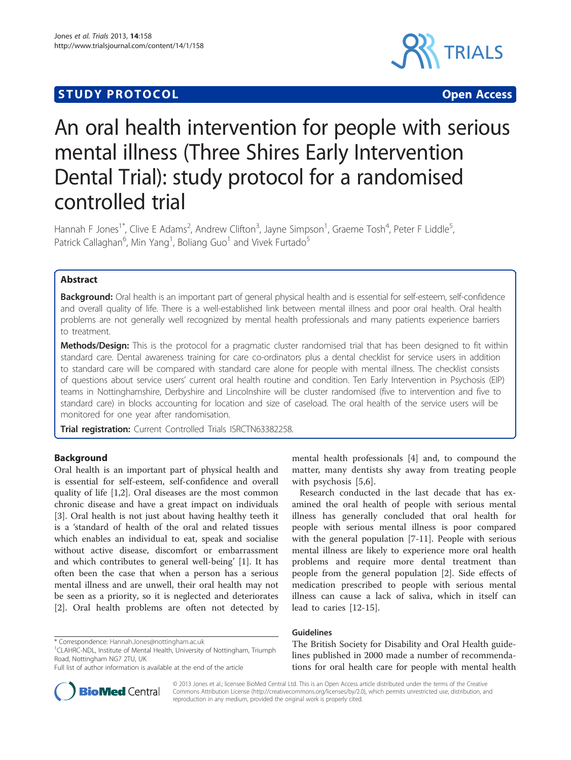# **STUDY PROTOCOL CONSUMING THE CONSUMING OPEN ACCESS**



# An oral health intervention for people with serious mental illness (Three Shires Early Intervention Dental Trial): study protocol for a randomised controlled trial

Hannah F Jones<sup>1\*</sup>, Clive E Adams<sup>2</sup>, Andrew Clifton<sup>3</sup>, Jayne Simpson<sup>1</sup>, Graeme Tosh<sup>4</sup>, Peter F Liddle<sup>5</sup> , Patrick Callaghan<sup>6</sup>, Min Yang<sup>1</sup>, Boliang Guo<sup>1</sup> and Vivek Furtado<sup>5</sup>

# Abstract

Background: Oral health is an important part of general physical health and is essential for self-esteem, self-confidence and overall quality of life. There is a well-established link between mental illness and poor oral health. Oral health problems are not generally well recognized by mental health professionals and many patients experience barriers to treatment.

Methods/Design: This is the protocol for a pragmatic cluster randomised trial that has been designed to fit within standard care. Dental awareness training for care co-ordinators plus a dental checklist for service users in addition to standard care will be compared with standard care alone for people with mental illness. The checklist consists of questions about service users' current oral health routine and condition. Ten Early Intervention in Psychosis (EIP) teams in Nottinghamshire, Derbyshire and Lincolnshire will be cluster randomised (five to intervention and five to standard care) in blocks accounting for location and size of caseload. The oral health of the service users will be monitored for one year after randomisation.

Trial registration: Current Controlled Trials [ISRCTN63382258](http://www.controlled-trials.com/ISRCTN63382258/).

# Background

Oral health is an important part of physical health and is essential for self-esteem, self-confidence and overall quality of life [[1,2\]](#page-7-0). Oral diseases are the most common chronic disease and have a great impact on individuals [[3\]](#page-7-0). Oral health is not just about having healthy teeth it is a 'standard of health of the oral and related tissues which enables an individual to eat, speak and socialise without active disease, discomfort or embarrassment and which contributes to general well-being' [\[1\]](#page-7-0). It has often been the case that when a person has a serious mental illness and are unwell, their oral health may not be seen as a priority, so it is neglected and deteriorates [[2\]](#page-7-0). Oral health problems are often not detected by

\* Correspondence: [Hannah.Jones@nottingham.ac.uk](mailto:Hannah.Jones@nottingham.ac.uk) <sup>1</sup>

mental health professionals [[4](#page-7-0)] and, to compound the matter, many dentists shy away from treating people with psychosis [[5,6](#page-7-0)].

Research conducted in the last decade that has examined the oral health of people with serious mental illness has generally concluded that oral health for people with serious mental illness is poor compared with the general population [[7-11](#page-7-0)]. People with serious mental illness are likely to experience more oral health problems and require more dental treatment than people from the general population [[2\]](#page-7-0). Side effects of medication prescribed to people with serious mental illness can cause a lack of saliva, which in itself can lead to caries [[12-15\]](#page-7-0).

# Guidelines

The British Society for Disability and Oral Health guidelines published in 2000 made a number of recommendations for oral health care for people with mental health



© 2013 Jones et al.; licensee BioMed Central Ltd. This is an Open Access article distributed under the terms of the Creative Commons Attribution License [\(http://creativecommons.org/licenses/by/2.0\)](http://creativecommons.org/licenses/by/2.0), which permits unrestricted use, distribution, and reproduction in any medium, provided the original work is properly cited.

<sup>&</sup>lt;sup>1</sup>CLAHRC-NDL, Institute of Mental Health, University of Nottingham, Triumph Road, Nottingham NG7 2TU, UK

Full list of author information is available at the end of the article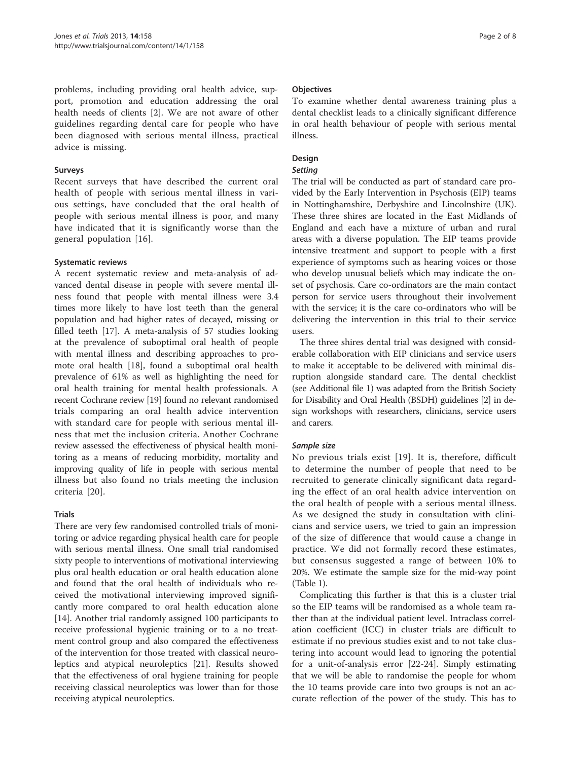problems, including providing oral health advice, support, promotion and education addressing the oral health needs of clients [\[2](#page-7-0)]. We are not aware of other guidelines regarding dental care for people who have been diagnosed with serious mental illness, practical advice is missing.

# Surveys

Recent surveys that have described the current oral health of people with serious mental illness in various settings, have concluded that the oral health of people with serious mental illness is poor, and many have indicated that it is significantly worse than the general population [[16](#page-7-0)].

# Systematic reviews

A recent systematic review and meta-analysis of advanced dental disease in people with severe mental illness found that people with mental illness were 3.4 times more likely to have lost teeth than the general population and had higher rates of decayed, missing or filled teeth [[17](#page-7-0)]. A meta-analysis of 57 studies looking at the prevalence of suboptimal oral health of people with mental illness and describing approaches to promote oral health [\[18](#page-7-0)], found a suboptimal oral health prevalence of 61% as well as highlighting the need for oral health training for mental health professionals. A recent Cochrane review [\[19\]](#page-7-0) found no relevant randomised trials comparing an oral health advice intervention with standard care for people with serious mental illness that met the inclusion criteria. Another Cochrane review assessed the effectiveness of physical health monitoring as a means of reducing morbidity, mortality and improving quality of life in people with serious mental illness but also found no trials meeting the inclusion criteria [[20](#page-7-0)].

# Trials

There are very few randomised controlled trials of monitoring or advice regarding physical health care for people with serious mental illness. One small trial randomised sixty people to interventions of motivational interviewing plus oral health education or oral health education alone and found that the oral health of individuals who received the motivational interviewing improved significantly more compared to oral health education alone [[14\]](#page-7-0). Another trial randomly assigned 100 participants to receive professional hygienic training or to a no treatment control group and also compared the effectiveness of the intervention for those treated with classical neuroleptics and atypical neuroleptics [\[21](#page-7-0)]. Results showed that the effectiveness of oral hygiene training for people receiving classical neuroleptics was lower than for those receiving atypical neuroleptics.

# **Objectives**

To examine whether dental awareness training plus a dental checklist leads to a clinically significant difference in oral health behaviour of people with serious mental illness.

# Design

# **Setting**

The trial will be conducted as part of standard care provided by the Early Intervention in Psychosis (EIP) teams in Nottinghamshire, Derbyshire and Lincolnshire (UK). These three shires are located in the East Midlands of England and each have a mixture of urban and rural areas with a diverse population. The EIP teams provide intensive treatment and support to people with a first experience of symptoms such as hearing voices or those who develop unusual beliefs which may indicate the onset of psychosis. Care co-ordinators are the main contact person for service users throughout their involvement with the service; it is the care co-ordinators who will be delivering the intervention in this trial to their service users.

The three shires dental trial was designed with considerable collaboration with EIP clinicians and service users to make it acceptable to be delivered with minimal disruption alongside standard care. The dental checklist (see Additional file [1\)](#page-6-0) was adapted from the British Society for Disability and Oral Health (BSDH) guidelines [[2](#page-7-0)] in design workshops with researchers, clinicians, service users and carers.

# Sample size

No previous trials exist [\[19\]](#page-7-0). It is, therefore, difficult to determine the number of people that need to be recruited to generate clinically significant data regarding the effect of an oral health advice intervention on the oral health of people with a serious mental illness. As we designed the study in consultation with clinicians and service users, we tried to gain an impression of the size of difference that would cause a change in practice. We did not formally record these estimates, but consensus suggested a range of between 10% to 20%. We estimate the sample size for the mid-way point (Table [1\)](#page-2-0).

Complicating this further is that this is a cluster trial so the EIP teams will be randomised as a whole team rather than at the individual patient level. Intraclass correlation coefficient (ICC) in cluster trials are difficult to estimate if no previous studies exist and to not take clustering into account would lead to ignoring the potential for a unit-of-analysis error [[22-24](#page-7-0)]. Simply estimating that we will be able to randomise the people for whom the 10 teams provide care into two groups is not an accurate reflection of the power of the study. This has to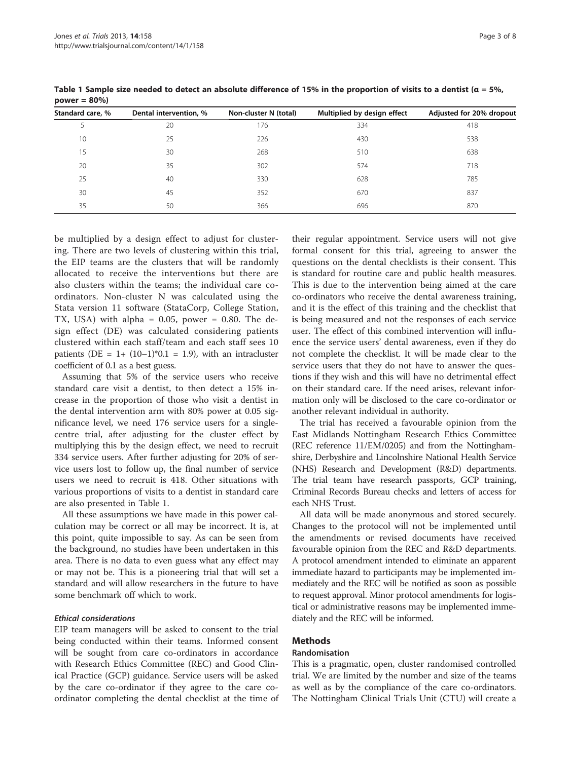| Standard care, % | Dental intervention, % | Non-cluster N (total) | Multiplied by design effect | Adjusted for 20% dropout |
|------------------|------------------------|-----------------------|-----------------------------|--------------------------|
| 5                | 20                     | 176                   | 334                         | 418                      |
| 10               | 25                     | 226                   | 430                         | 538                      |
| 15               | 30                     | 268                   | 510                         | 638                      |
| 20               | 35                     | 302                   | 574                         | 718                      |
| 25               | 40                     | 330                   | 628                         | 785                      |
| 30               | 45                     | 352                   | 670                         | 837                      |
| 35               | 50                     | 366                   | 696                         | 870                      |

<span id="page-2-0"></span>Table 1 Sample size needed to detect an absolute difference of 15% in the proportion of visits to a dentist ( $\alpha = 5$ %, power  $= 80\%$ 

be multiplied by a design effect to adjust for clustering. There are two levels of clustering within this trial, the EIP teams are the clusters that will be randomly allocated to receive the interventions but there are also clusters within the teams; the individual care coordinators. Non-cluster N was calculated using the Stata version 11 software (StataCorp, College Station, TX, USA) with alpha =  $0.05$ , power = 0.80. The design effect (DE) was calculated considering patients clustered within each staff/team and each staff sees 10 patients (DE =  $1+$  (10–1)\*0.1 = 1.9), with an intracluster coefficient of 0.1 as a best guess.

Assuming that 5% of the service users who receive standard care visit a dentist, to then detect a 15% increase in the proportion of those who visit a dentist in the dental intervention arm with 80% power at 0.05 significance level, we need 176 service users for a singlecentre trial, after adjusting for the cluster effect by multiplying this by the design effect, we need to recruit 334 service users. After further adjusting for 20% of service users lost to follow up, the final number of service users we need to recruit is 418. Other situations with various proportions of visits to a dentist in standard care are also presented in Table 1.

All these assumptions we have made in this power calculation may be correct or all may be incorrect. It is, at this point, quite impossible to say. As can be seen from the background, no studies have been undertaken in this area. There is no data to even guess what any effect may or may not be. This is a pioneering trial that will set a standard and will allow researchers in the future to have some benchmark off which to work.

# Ethical considerations

EIP team managers will be asked to consent to the trial being conducted within their teams. Informed consent will be sought from care co-ordinators in accordance with Research Ethics Committee (REC) and Good Clinical Practice (GCP) guidance. Service users will be asked by the care co-ordinator if they agree to the care coordinator completing the dental checklist at the time of

their regular appointment. Service users will not give formal consent for this trial, agreeing to answer the questions on the dental checklists is their consent. This is standard for routine care and public health measures. This is due to the intervention being aimed at the care co-ordinators who receive the dental awareness training, and it is the effect of this training and the checklist that is being measured and not the responses of each service user. The effect of this combined intervention will influence the service users' dental awareness, even if they do not complete the checklist. It will be made clear to the service users that they do not have to answer the questions if they wish and this will have no detrimental effect on their standard care. If the need arises, relevant information only will be disclosed to the care co-ordinator or another relevant individual in authority.

The trial has received a favourable opinion from the East Midlands Nottingham Research Ethics Committee (REC reference 11/EM/0205) and from the Nottinghamshire, Derbyshire and Lincolnshire National Health Service (NHS) Research and Development (R&D) departments. The trial team have research passports, GCP training, Criminal Records Bureau checks and letters of access for each NHS Trust.

All data will be made anonymous and stored securely. Changes to the protocol will not be implemented until the amendments or revised documents have received favourable opinion from the REC and R&D departments. A protocol amendment intended to eliminate an apparent immediate hazard to participants may be implemented immediately and the REC will be notified as soon as possible to request approval. Minor protocol amendments for logistical or administrative reasons may be implemented immediately and the REC will be informed.

# Methods

#### Randomisation

This is a pragmatic, open, cluster randomised controlled trial. We are limited by the number and size of the teams as well as by the compliance of the care co-ordinators. The Nottingham Clinical Trials Unit (CTU) will create a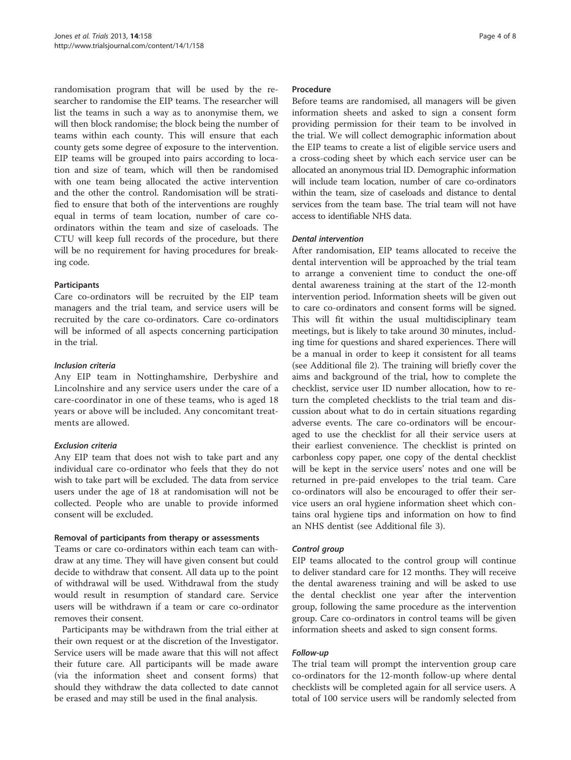randomisation program that will be used by the researcher to randomise the EIP teams. The researcher will list the teams in such a way as to anonymise them, we will then block randomise; the block being the number of teams within each county. This will ensure that each county gets some degree of exposure to the intervention. EIP teams will be grouped into pairs according to location and size of team, which will then be randomised with one team being allocated the active intervention and the other the control. Randomisation will be stratified to ensure that both of the interventions are roughly equal in terms of team location, number of care coordinators within the team and size of caseloads. The CTU will keep full records of the procedure, but there will be no requirement for having procedures for breaking code.

# Participants

Care co-ordinators will be recruited by the EIP team managers and the trial team, and service users will be recruited by the care co-ordinators. Care co-ordinators will be informed of all aspects concerning participation in the trial.

# Inclusion criteria

Any EIP team in Nottinghamshire, Derbyshire and Lincolnshire and any service users under the care of a care-coordinator in one of these teams, who is aged 18 years or above will be included. Any concomitant treatments are allowed.

# Exclusion criteria

Any EIP team that does not wish to take part and any individual care co-ordinator who feels that they do not wish to take part will be excluded. The data from service users under the age of 18 at randomisation will not be collected. People who are unable to provide informed consent will be excluded.

## Removal of participants from therapy or assessments

Teams or care co-ordinators within each team can withdraw at any time. They will have given consent but could decide to withdraw that consent. All data up to the point of withdrawal will be used. Withdrawal from the study would result in resumption of standard care. Service users will be withdrawn if a team or care co-ordinator removes their consent.

Participants may be withdrawn from the trial either at their own request or at the discretion of the Investigator. Service users will be made aware that this will not affect their future care. All participants will be made aware (via the information sheet and consent forms) that should they withdraw the data collected to date cannot be erased and may still be used in the final analysis.

# **Procedure**

Before teams are randomised, all managers will be given information sheets and asked to sign a consent form providing permission for their team to be involved in the trial. We will collect demographic information about the EIP teams to create a list of eligible service users and a cross-coding sheet by which each service user can be allocated an anonymous trial ID. Demographic information will include team location, number of care co-ordinators within the team, size of caseloads and distance to dental services from the team base. The trial team will not have access to identifiable NHS data.

# Dental intervention

After randomisation, EIP teams allocated to receive the dental intervention will be approached by the trial team to arrange a convenient time to conduct the one-off dental awareness training at the start of the 12-month intervention period. Information sheets will be given out to care co-ordinators and consent forms will be signed. This will fit within the usual multidisciplinary team meetings, but is likely to take around 30 minutes, including time for questions and shared experiences. There will be a manual in order to keep it consistent for all teams (see Additional file [2\)](#page-6-0). The training will briefly cover the aims and background of the trial, how to complete the checklist, service user ID number allocation, how to return the completed checklists to the trial team and discussion about what to do in certain situations regarding adverse events. The care co-ordinators will be encouraged to use the checklist for all their service users at their earliest convenience. The checklist is printed on carbonless copy paper, one copy of the dental checklist will be kept in the service users' notes and one will be returned in pre-paid envelopes to the trial team. Care co-ordinators will also be encouraged to offer their service users an oral hygiene information sheet which contains oral hygiene tips and information on how to find an NHS dentist (see Additional file [3](#page-6-0)).

# Control group

EIP teams allocated to the control group will continue to deliver standard care for 12 months. They will receive the dental awareness training and will be asked to use the dental checklist one year after the intervention group, following the same procedure as the intervention group. Care co-ordinators in control teams will be given information sheets and asked to sign consent forms.

## Follow-up

The trial team will prompt the intervention group care co-ordinators for the 12-month follow-up where dental checklists will be completed again for all service users. A total of 100 service users will be randomly selected from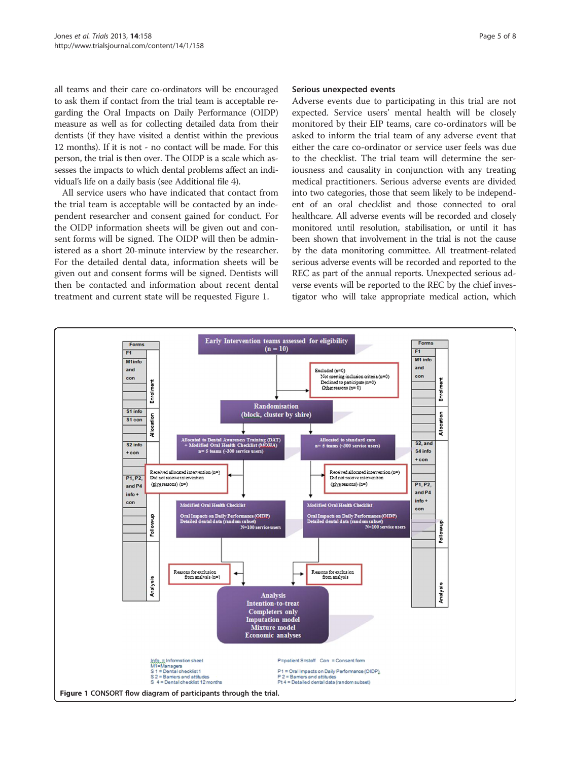all teams and their care co-ordinators will be encouraged to ask them if contact from the trial team is acceptable regarding the Oral Impacts on Daily Performance (OIDP) measure as well as for collecting detailed data from their dentists (if they have visited a dentist within the previous 12 months). If it is not - no contact will be made. For this person, the trial is then over. The OIDP is a scale which assesses the impacts to which dental problems affect an individual's life on a daily basis (see Additional file [4\)](#page-6-0).

All service users who have indicated that contact from the trial team is acceptable will be contacted by an independent researcher and consent gained for conduct. For the OIDP information sheets will be given out and consent forms will be signed. The OIDP will then be administered as a short 20-minute interview by the researcher. For the detailed dental data, information sheets will be given out and consent forms will be signed. Dentists will then be contacted and information about recent dental treatment and current state will be requested Figure 1.

# Serious unexpected events

Adverse events due to participating in this trial are not expected. Service users' mental health will be closely monitored by their EIP teams, care co-ordinators will be asked to inform the trial team of any adverse event that either the care co-ordinator or service user feels was due to the checklist. The trial team will determine the seriousness and causality in conjunction with any treating medical practitioners. Serious adverse events are divided into two categories, those that seem likely to be independent of an oral checklist and those connected to oral healthcare. All adverse events will be recorded and closely monitored until resolution, stabilisation, or until it has been shown that involvement in the trial is not the cause by the data monitoring committee. All treatment-related serious adverse events will be recorded and reported to the REC as part of the annual reports. Unexpected serious adverse events will be reported to the REC by the chief investigator who will take appropriate medical action, which

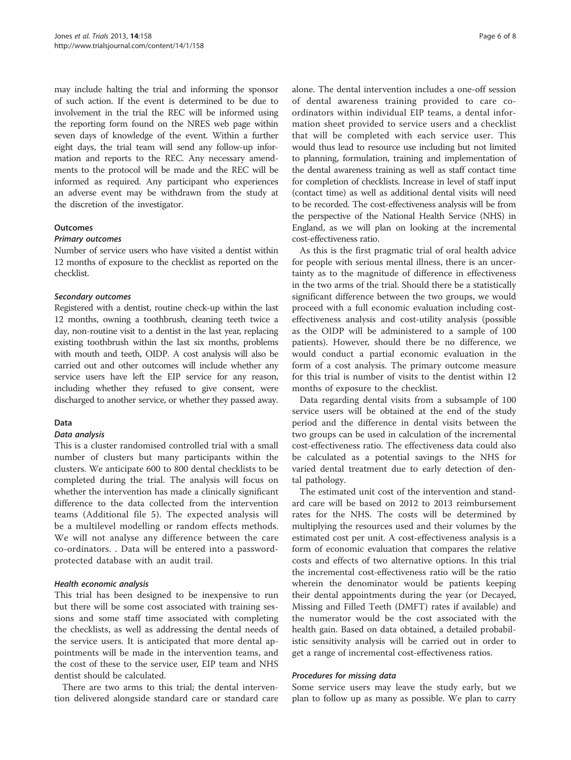may include halting the trial and informing the sponsor of such action. If the event is determined to be due to involvement in the trial the REC will be informed using the reporting form found on the NRES web page within seven days of knowledge of the event. Within a further eight days, the trial team will send any follow-up information and reports to the REC. Any necessary amendments to the protocol will be made and the REC will be informed as required. Any participant who experiences an adverse event may be withdrawn from the study at the discretion of the investigator.

## **Outcomes**

# Primary outcomes

Number of service users who have visited a dentist within 12 months of exposure to the checklist as reported on the checklist.

## Secondary outcomes

Registered with a dentist, routine check-up within the last 12 months, owning a toothbrush, cleaning teeth twice a day, non-routine visit to a dentist in the last year, replacing existing toothbrush within the last six months, problems with mouth and teeth, OIDP. A cost analysis will also be carried out and other outcomes will include whether any service users have left the EIP service for any reason, including whether they refused to give consent, were discharged to another service, or whether they passed away.

## Data

# Data analysis

This is a cluster randomised controlled trial with a small number of clusters but many participants within the clusters. We anticipate 600 to 800 dental checklists to be completed during the trial. The analysis will focus on whether the intervention has made a clinically significant difference to the data collected from the intervention teams (Additional file [5\)](#page-6-0). The expected analysis will be a multilevel modelling or random effects methods. We will not analyse any difference between the care co-ordinators. . Data will be entered into a passwordprotected database with an audit trail.

## Health economic analysis

This trial has been designed to be inexpensive to run but there will be some cost associated with training sessions and some staff time associated with completing the checklists, as well as addressing the dental needs of the service users. It is anticipated that more dental appointments will be made in the intervention teams, and the cost of these to the service user, EIP team and NHS dentist should be calculated.

There are two arms to this trial; the dental intervention delivered alongside standard care or standard care alone. The dental intervention includes a one-off session of dental awareness training provided to care coordinators within individual EIP teams, a dental information sheet provided to service users and a checklist that will be completed with each service user. This would thus lead to resource use including but not limited to planning, formulation, training and implementation of the dental awareness training as well as staff contact time for completion of checklists. Increase in level of staff input (contact time) as well as additional dental visits will need to be recorded. The cost-effectiveness analysis will be from the perspective of the National Health Service (NHS) in England, as we will plan on looking at the incremental cost-effectiveness ratio.

As this is the first pragmatic trial of oral health advice for people with serious mental illness, there is an uncertainty as to the magnitude of difference in effectiveness in the two arms of the trial. Should there be a statistically significant difference between the two groups, we would proceed with a full economic evaluation including costeffectiveness analysis and cost-utility analysis (possible as the OIDP will be administered to a sample of 100 patients). However, should there be no difference, we would conduct a partial economic evaluation in the form of a cost analysis. The primary outcome measure for this trial is number of visits to the dentist within 12 months of exposure to the checklist.

Data regarding dental visits from a subsample of 100 service users will be obtained at the end of the study period and the difference in dental visits between the two groups can be used in calculation of the incremental cost-effectiveness ratio. The effectiveness data could also be calculated as a potential savings to the NHS for varied dental treatment due to early detection of dental pathology.

The estimated unit cost of the intervention and standard care will be based on 2012 to 2013 reimbursement rates for the NHS. The costs will be determined by multiplying the resources used and their volumes by the estimated cost per unit. A cost-effectiveness analysis is a form of economic evaluation that compares the relative costs and effects of two alternative options. In this trial the incremental cost-effectiveness ratio will be the ratio wherein the denominator would be patients keeping their dental appointments during the year (or Decayed, Missing and Filled Teeth (DMFT) rates if available) and the numerator would be the cost associated with the health gain. Based on data obtained, a detailed probabilistic sensitivity analysis will be carried out in order to get a range of incremental cost-effectiveness ratios.

## Procedures for missing data

Some service users may leave the study early, but we plan to follow up as many as possible. We plan to carry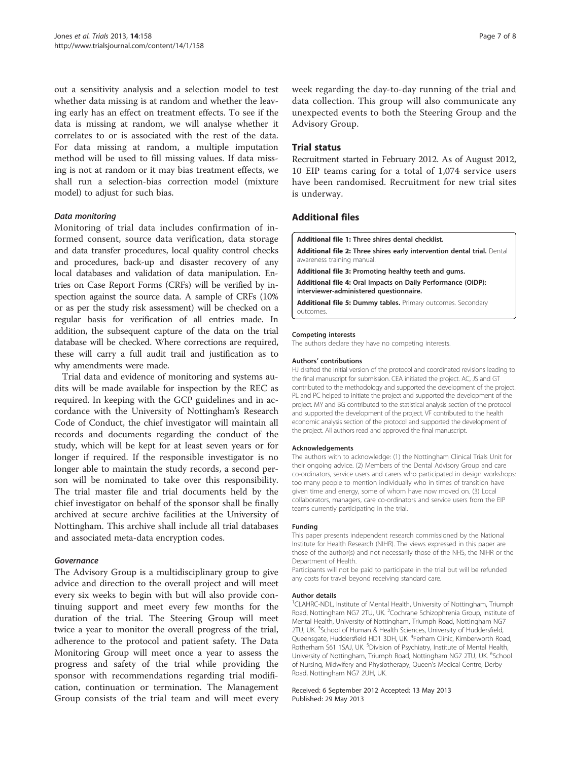<span id="page-6-0"></span>out a sensitivity analysis and a selection model to test whether data missing is at random and whether the leaving early has an effect on treatment effects. To see if the data is missing at random, we will analyse whether it correlates to or is associated with the rest of the data. For data missing at random, a multiple imputation method will be used to fill missing values. If data missing is not at random or it may bias treatment effects, we shall run a selection-bias correction model (mixture model) to adjust for such bias.

# Data monitoring

Monitoring of trial data includes confirmation of informed consent, source data verification, data storage and data transfer procedures, local quality control checks and procedures, back-up and disaster recovery of any local databases and validation of data manipulation. Entries on Case Report Forms (CRFs) will be verified by inspection against the source data. A sample of CRFs (10% or as per the study risk assessment) will be checked on a regular basis for verification of all entries made. In addition, the subsequent capture of the data on the trial database will be checked. Where corrections are required, these will carry a full audit trail and justification as to why amendments were made.

Trial data and evidence of monitoring and systems audits will be made available for inspection by the REC as required. In keeping with the GCP guidelines and in accordance with the University of Nottingham's Research Code of Conduct, the chief investigator will maintain all records and documents regarding the conduct of the study, which will be kept for at least seven years or for longer if required. If the responsible investigator is no longer able to maintain the study records, a second person will be nominated to take over this responsibility. The trial master file and trial documents held by the chief investigator on behalf of the sponsor shall be finally archived at secure archive facilities at the University of Nottingham. This archive shall include all trial databases and associated meta-data encryption codes.

## Governance

The Advisory Group is a multidisciplinary group to give advice and direction to the overall project and will meet every six weeks to begin with but will also provide continuing support and meet every few months for the duration of the trial. The Steering Group will meet twice a year to monitor the overall progress of the trial, adherence to the protocol and patient safety. The Data Monitoring Group will meet once a year to assess the progress and safety of the trial while providing the sponsor with recommendations regarding trial modification, continuation or termination. The Management Group consists of the trial team and will meet every week regarding the day-to-day running of the trial and data collection. This group will also communicate any unexpected events to both the Steering Group and the Advisory Group.

# Trial status

Recruitment started in February 2012. As of August 2012, 10 EIP teams caring for a total of 1,074 service users have been randomised. Recruitment for new trial sites is underway.

# Additional files

[Additional file 1](http://www.biomedcentral.com/content/supplementary/1745-6215-14-158-S1.pdf): Three shires dental checklist.

[Additional file 2](http://www.biomedcentral.com/content/supplementary/1745-6215-14-158-S2.docx): Three shires early intervention dental trial. Dental awareness training manual.

[Additional file 3](http://www.biomedcentral.com/content/supplementary/1745-6215-14-158-S3.doc): Promoting healthy teeth and gums.

[Additional file 4](http://www.biomedcentral.com/content/supplementary/1745-6215-14-158-S4.pdf): Oral Impacts on Daily Performance (OIDP): interviewer-administered questionnaire.

[Additional file 5](http://www.biomedcentral.com/content/supplementary/1745-6215-14-158-S5.docx): Dummy tables. Primary outcomes. Secondary outcomes.

#### Competing interests

The authors declare they have no competing interests.

#### Authors' contributions

HJ drafted the initial version of the protocol and coordinated revisions leading to the final manuscript for submission. CEA initiated the project. AC, JS and GT contributed to the methodology and supported the development of the project. PL and PC helped to initiate the project and supported the development of the project. MY and BG contributed to the statistical analysis section of the protocol and supported the development of the project. VF contributed to the health economic analysis section of the protocol and supported the development of the project. All authors read and approved the final manuscript.

#### Acknowledgements

The authors with to acknowledge: (1) the Nottingham Clinical Trials Unit for their ongoing advice. (2) Members of the Dental Advisory Group and care co-ordinators, service users and carers who participated in design workshops: too many people to mention individually who in times of transition have given time and energy, some of whom have now moved on. (3) Local collaborators, managers, care co-ordinators and service users from the EIP teams currently participating in the trial.

#### Funding

This paper presents independent research commissioned by the National Institute for Health Research (NIHR). The views expressed in this paper are those of the author(s) and not necessarily those of the NHS, the NIHR or the Department of Health.

Participants will not be paid to participate in the trial but will be refunded any costs for travel beyond receiving standard care.

#### Author details

<sup>1</sup>CLAHRC-NDL, Institute of Mental Health, University of Nottingham, Triumph Road, Nottingham NG7 2TU, UK. <sup>2</sup>Cochrane Schizophrenia Group, Institute of Mental Health, University of Nottingham, Triumph Road, Nottingham NG7 2TU, UK. <sup>3</sup>School of Human & Health Sciences, University of Huddersfield, Queensgate, Huddersfield HD1 3DH, UK. <sup>4</sup>Ferham Clinic, Kimberworth Road, Rotherham S61 1SAJ, UK. <sup>5</sup> Division of Psychiatry, Institute of Mental Health University of Nottingham, Triumph Road, Nottingham NG7 2TU, UK. <sup>6</sup>School of Nursing, Midwifery and Physiotherapy, Queen's Medical Centre, Derby Road, Nottingham NG7 2UH, UK.

#### Received: 6 September 2012 Accepted: 13 May 2013 Published: 29 May 2013